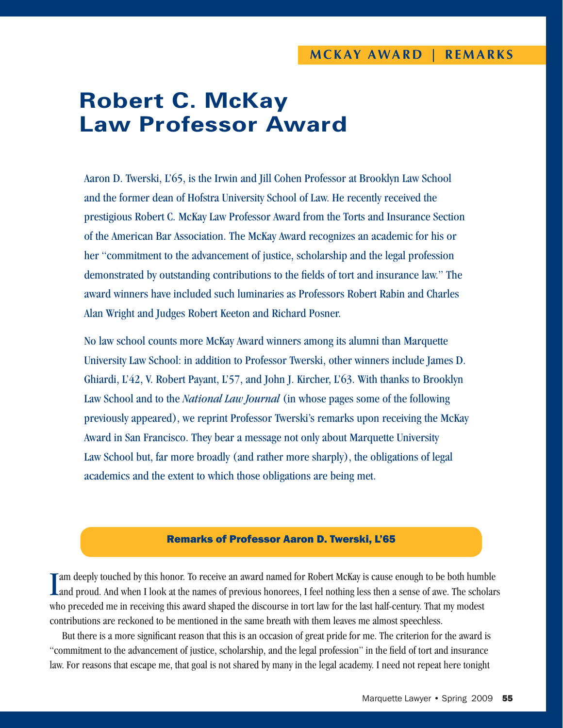## **Robert C. McKay Law Professor Award**

Aaron D. Twerski, L'65, is the Irwin and Jill Cohen Professor at Brooklyn Law School and the former dean of Hofstra University School of Law. He recently received the prestigious Robert C. McKay Law Professor Award from the Torts and Insurance Section of the American Bar Association. The McKay Award recognizes an academic for his or her "commitment to the advancement of justice, scholarship and the legal profession demonstrated by outstanding contributions to the fields of tort and insurance law." The award winners have included such luminaries as Professors Robert Rabin and Charles Alan Wright and Judges Robert Keeton and Richard Posner.

No law school counts more McKay Award winners among its alumni than Marquette University Law School: in addition to Professor Twerski, other winners include James D. Ghiardi, L'42, V. Robert Payant, L'57, and John J. Kircher, L'63. With thanks to Brooklyn Law School and to the *National Law Journal* (in whose pages some of the following previously appeared), we reprint Professor Twerski's remarks upon receiving the McKay Award in San Francisco. They bear a message not only about Marquette University Law School but, far more broadly (and rather more sharply), the obligations of legal academics and the extent to which those obligations are being met.

## Remarks of Professor Aaron D. Twerski, L'65

I am deeply touched by this honor. To receive an award named for Robert McKay is cause enough to be both humble and proud. And when I look at the names of previous honorees, I feel nothing less then a sense of awe. The sch am deeply touched by this honor. To receive an award named for Robert McKay is cause enough to be both humble who preceded me in receiving this award shaped the discourse in tort law for the last half-century. That my modest contributions are reckoned to be mentioned in the same breath with them leaves me almost speechless.

But there is a more significant reason that this is an occasion of great pride for me. The criterion for the award is "commitment to the advancement of justice, scholarship, and the legal profession" in the field of tort and insurance law. For reasons that escape me, that goal is not shared by many in the legal academy. I need not repeat here tonight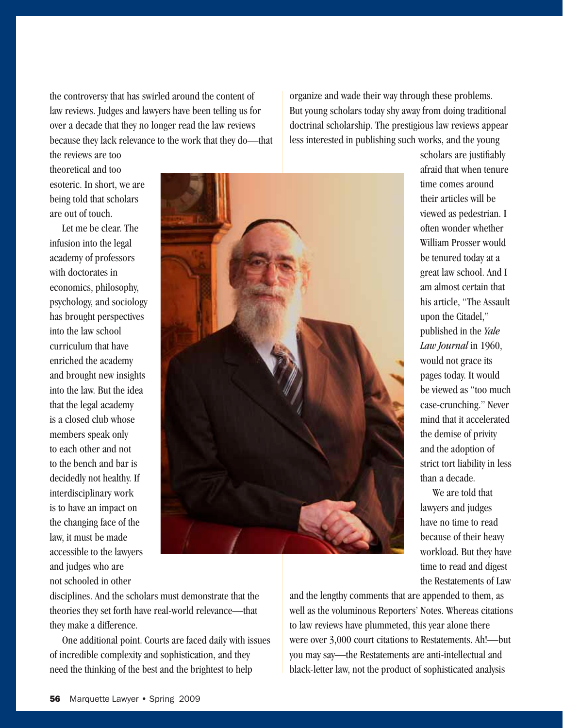the controversy that has swirled around the content of law reviews. Judges and lawyers have been telling us for over a decade that they no longer read the law reviews because they lack relevance to the work that they do—that organize and wade their way through these problems. But young scholars today shy away from doing traditional doctrinal scholarship. The prestigious law reviews appear less interested in publishing such works, and the young

the reviews are too theoretical and too esoteric. In short, we are being told that scholars are out of touch.

Let me be clear. The infusion into the legal academy of professors with doctorates in economics, philosophy, psychology, and sociology has brought perspectives into the law school curriculum that have enriched the academy and brought new insights into the law. But the idea that the legal academy is a closed club whose members speak only to each other and not to the bench and bar is decidedly not healthy. If interdisciplinary work is to have an impact on the changing face of the law, it must be made accessible to the lawyers and judges who are not schooled in other



scholars are justifiably afraid that when tenure time comes around their articles will be viewed as pedestrian. I often wonder whether William Prosser would be tenured today at a great law school. And I am almost certain that his article, "The Assault upon the Citadel," published in the *Yale Law Journal* in 1960, would not grace its pages today. It would be viewed as "too much case-crunching." Never mind that it accelerated the demise of privity and the adoption of strict tort liability in less than a decade.

We are told that lawyers and judges have no time to read because of their heavy workload. But they have time to read and digest the Restatements of Law

disciplines. And the scholars must demonstrate that the theories they set forth have real-world relevance—that they make a difference.

One additional point. Courts are faced daily with issues of incredible complexity and sophistication, and they need the thinking of the best and the brightest to help

and the lengthy comments that are appended to them, as well as the voluminous Reporters' Notes. Whereas citations to law reviews have plummeted, this year alone there were over 3,000 court citations to Restatements. Ah!—but you may say—the Restatements are anti-intellectual and black-letter law, not the product of sophisticated analysis